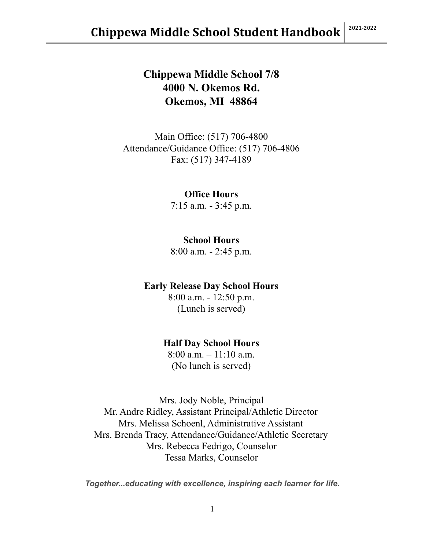## **Chippewa Middle School 7/8 4000 N. Okemos Rd. Okemos, MI 48864**

Main Office: (517) 706-4800 Attendance/Guidance Office: (517) 706-4806 Fax: (517) 347-4189

#### **Office Hours**

7:15 a.m. - 3:45 p.m.

#### **School Hours**

8:00 a.m. - 2:45 p.m.

#### **Early Release Day School Hours**

8:00 a.m. - 12:50 p.m. (Lunch is served)

#### **Half Day School Hours**

8:00 a.m. – 11:10 a.m. (No lunch is served)

Mrs. Jody Noble, Principal Mr. Andre Ridley, Assistant Principal/Athletic Director Mrs. Melissa Schoenl, Administrative Assistant Mrs. Brenda Tracy, Attendance/Guidance/Athletic Secretary Mrs. Rebecca Fedrigo, Counselor Tessa Marks, Counselor

*Together...educating with excellence, inspiring each learner for life.*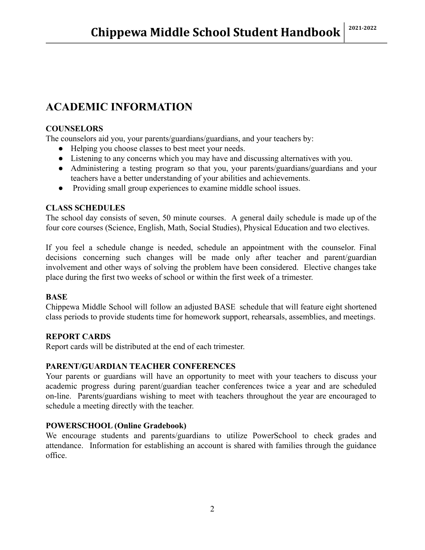## **ACADEMIC INFORMATION**

#### **COUNSELORS**

The counselors aid you, your parents/guardians/guardians, and your teachers by:

- Helping you choose classes to best meet your needs.
- Listening to any concerns which you may have and discussing alternatives with you.
- Administering a testing program so that you, your parents/guardians/guardians and your teachers have a better understanding of your abilities and achievements.
- Providing small group experiences to examine middle school issues.

#### **CLASS SCHEDULES**

The school day consists of seven, 50 minute courses. A general daily schedule is made up of the four core courses (Science, English, Math, Social Studies), Physical Education and two electives.

If you feel a schedule change is needed, schedule an appointment with the counselor. Final decisions concerning such changes will be made only after teacher and parent/guardian involvement and other ways of solving the problem have been considered. Elective changes take place during the first two weeks of school or within the first week of a trimester.

#### **BASE**

Chippewa Middle School will follow an adjusted BASE schedule that will feature eight shortened class periods to provide students time for homework support, rehearsals, assemblies, and meetings.

#### **REPORT CARDS**

Report cards will be distributed at the end of each trimester.

#### **PARENT/GUARDIAN TEACHER CONFERENCES**

Your parents or guardians will have an opportunity to meet with your teachers to discuss your academic progress during parent/guardian teacher conferences twice a year and are scheduled on-line. Parents/guardians wishing to meet with teachers throughout the year are encouraged to schedule a meeting directly with the teacher.

#### **POWERSCHOOL (Online Gradebook)**

We encourage students and parents/guardians to utilize PowerSchool to check grades and attendance. Information for establishing an account is shared with families through the guidance office.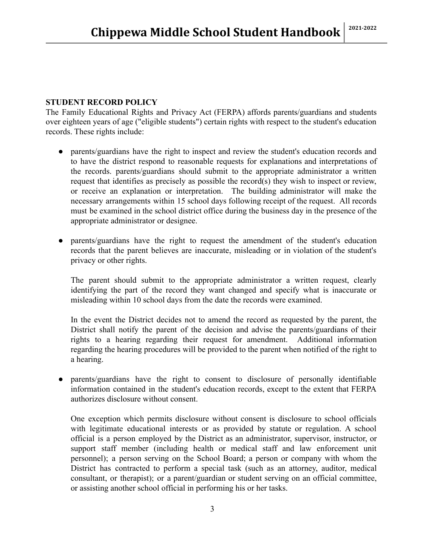#### **STUDENT RECORD POLICY**

The Family Educational Rights and Privacy Act (FERPA) affords parents/guardians and students over eighteen years of age ("eligible students") certain rights with respect to the student's education records. These rights include:

- parents/guardians have the right to inspect and review the student's education records and to have the district respond to reasonable requests for explanations and interpretations of the records. parents/guardians should submit to the appropriate administrator a written request that identifies as precisely as possible the record(s) they wish to inspect or review, or receive an explanation or interpretation. The building administrator will make the necessary arrangements within 15 school days following receipt of the request. All records must be examined in the school district office during the business day in the presence of the appropriate administrator or designee.
- parents/guardians have the right to request the amendment of the student's education records that the parent believes are inaccurate, misleading or in violation of the student's privacy or other rights.

The parent should submit to the appropriate administrator a written request, clearly identifying the part of the record they want changed and specify what is inaccurate or misleading within 10 school days from the date the records were examined.

In the event the District decides not to amend the record as requested by the parent, the District shall notify the parent of the decision and advise the parents/guardians of their rights to a hearing regarding their request for amendment. Additional information regarding the hearing procedures will be provided to the parent when notified of the right to a hearing.

● parents/guardians have the right to consent to disclosure of personally identifiable information contained in the student's education records, except to the extent that FERPA authorizes disclosure without consent.

One exception which permits disclosure without consent is disclosure to school officials with legitimate educational interests or as provided by statute or regulation. A school official is a person employed by the District as an administrator, supervisor, instructor, or support staff member (including health or medical staff and law enforcement unit personnel); a person serving on the School Board; a person or company with whom the District has contracted to perform a special task (such as an attorney, auditor, medical consultant, or therapist); or a parent/guardian or student serving on an official committee, or assisting another school official in performing his or her tasks.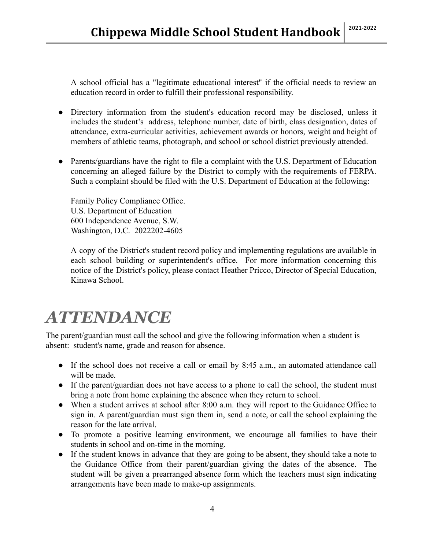A school official has a "legitimate educational interest" if the official needs to review an education record in order to fulfill their professional responsibility.

- Directory information from the student's education record may be disclosed, unless it includes the student's address, telephone number, date of birth, class designation, dates of attendance, extra-curricular activities, achievement awards or honors, weight and height of members of athletic teams, photograph, and school or school district previously attended.
- Parents/guardians have the right to file a complaint with the U.S. Department of Education concerning an alleged failure by the District to comply with the requirements of FERPA. Such a complaint should be filed with the U.S. Department of Education at the following:

Family Policy Compliance Office. U.S. Department of Education 600 Independence Avenue, S.W. Washington, D.C. 2022202-4605

A copy of the District's student record policy and implementing regulations are available in each school building or superintendent's office. For more information concerning this notice of the District's policy, please contact Heather Pricco, Director of Special Education, Kinawa School.

# *ATTENDANCE*

The parent/guardian must call the school and give the following information when a student is absent: student's name, grade and reason for absence.

- If the school does not receive a call or email by 8:45 a.m., an automated attendance call will be made.
- If the parent/guardian does not have access to a phone to call the school, the student must bring a note from home explaining the absence when they return to school.
- When a student arrives at school after 8:00 a.m. they will report to the Guidance Office to sign in. A parent/guardian must sign them in, send a note, or call the school explaining the reason for the late arrival.
- To promote a positive learning environment, we encourage all families to have their students in school and on-time in the morning.
- If the student knows in advance that they are going to be absent, they should take a note to the Guidance Office from their parent/guardian giving the dates of the absence. The student will be given a prearranged absence form which the teachers must sign indicating arrangements have been made to make-up assignments.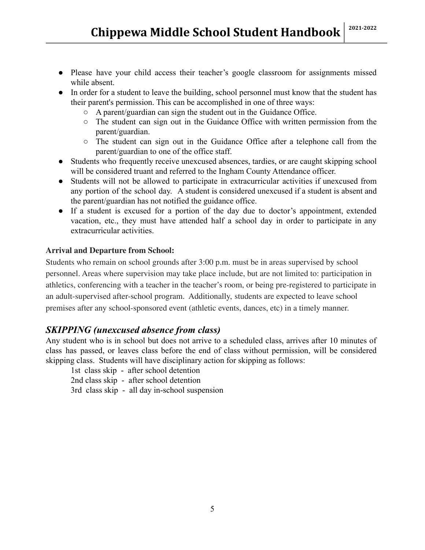- Please have your child access their teacher's google classroom for assignments missed while absent.
- In order for a student to leave the building, school personnel must know that the student has their parent's permission. This can be accomplished in one of three ways:
	- A parent/guardian can sign the student out in the Guidance Office.
	- The student can sign out in the Guidance Office with written permission from the parent/guardian.
	- The student can sign out in the Guidance Office after a telephone call from the parent/guardian to one of the office staff.
- Students who frequently receive unexcused absences, tardies, or are caught skipping school will be considered truant and referred to the Ingham County Attendance officer.
- Students will not be allowed to participate in extracurricular activities if unexcused from any portion of the school day. A student is considered unexcused if a student is absent and the parent/guardian has not notified the guidance office.
- If a student is excused for a portion of the day due to doctor's appointment, extended vacation, etc., they must have attended half a school day in order to participate in any extracurricular activities.

#### **Arrival and Departure from School:**

Students who remain on school grounds after 3:00 p.m. must be in areas supervised by school personnel. Areas where supervision may take place include, but are not limited to: participation in athletics, conferencing with a teacher in the teacher's room, or being pre-registered to participate in an adult-supervised after-school program. Additionally, students are expected to leave school premises after any school-sponsored event (athletic events, dances, etc) in a timely manner.

### *SKIPPING (unexcused absence from class)*

Any student who is in school but does not arrive to a scheduled class, arrives after 10 minutes of class has passed, or leaves class before the end of class without permission, will be considered skipping class. Students will have disciplinary action for skipping as follows:

1st class skip - after school detention

2nd class skip - after school detention

3rd class skip - all day in-school suspension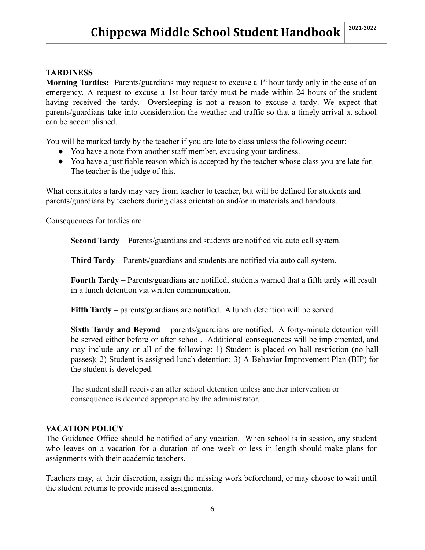#### **TARDINESS**

**Morning Tardies:** Parents/guardians may request to excuse a 1<sup>st</sup> hour tardy only in the case of an emergency. A request to excuse a 1st hour tardy must be made within 24 hours of the student having received the tardy. Oversleeping is not a reason to excuse a tardy. We expect that parents/guardians take into consideration the weather and traffic so that a timely arrival at school can be accomplished.

You will be marked tardy by the teacher if you are late to class unless the following occur:

- You have a note from another staff member, excusing your tardiness.
- You have a justifiable reason which is accepted by the teacher whose class you are late for. The teacher is the judge of this.

What constitutes a tardy may vary from teacher to teacher, but will be defined for students and parents/guardians by teachers during class orientation and/or in materials and handouts.

Consequences for tardies are:

**Second Tardy** – Parents/guardians and students are notified via auto call system.

**Third Tardy** – Parents/guardians and students are notified via auto call system.

**Fourth Tardy** – Parents/guardians are notified, students warned that a fifth tardy will result in a lunch detention via written communication.

**Fifth Tardy** – parents/guardians are notified. A lunch detention will be served.

**Sixth Tardy and Beyond** – parents/guardians are notified. A forty-minute detention will be served either before or after school. Additional consequences will be implemented, and may include any or all of the following: 1) Student is placed on hall restriction (no hall passes); 2) Student is assigned lunch detention; 3) A Behavior Improvement Plan (BIP) for the student is developed.

The student shall receive an after school detention unless another intervention or consequence is deemed appropriate by the administrator.

#### **VACATION POLICY**

The Guidance Office should be notified of any vacation. When school is in session, any student who leaves on a vacation for a duration of one week or less in length should make plans for assignments with their academic teachers.

Teachers may, at their discretion, assign the missing work beforehand, or may choose to wait until the student returns to provide missed assignments.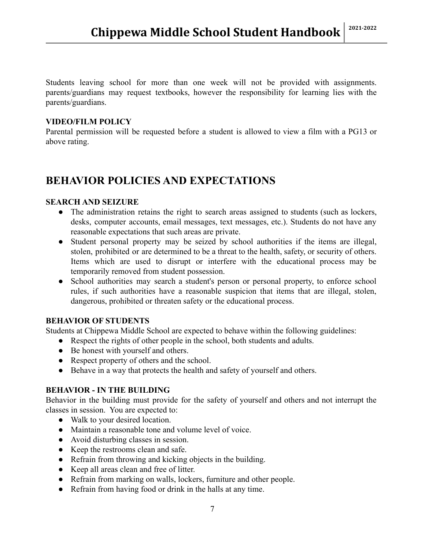Students leaving school for more than one week will not be provided with assignments. parents/guardians may request textbooks, however the responsibility for learning lies with the parents/guardians.

#### **VIDEO/FILM POLICY**

Parental permission will be requested before a student is allowed to view a film with a PG13 or above rating.

## **BEHAVIOR POLICIES AND EXPECTATIONS**

#### **SEARCH AND SEIZURE**

- The administration retains the right to search areas assigned to students (such as lockers, desks, computer accounts, email messages, text messages, etc.). Students do not have any reasonable expectations that such areas are private.
- Student personal property may be seized by school authorities if the items are illegal, stolen, prohibited or are determined to be a threat to the health, safety, or security of others. Items which are used to disrupt or interfere with the educational process may be temporarily removed from student possession.
- School authorities may search a student's person or personal property, to enforce school rules, if such authorities have a reasonable suspicion that items that are illegal, stolen, dangerous, prohibited or threaten safety or the educational process.

#### **BEHAVIOR OF STUDENTS**

Students at Chippewa Middle School are expected to behave within the following guidelines:

- Respect the rights of other people in the school, both students and adults.
- Be honest with yourself and others.
- Respect property of others and the school.
- Behave in a way that protects the health and safety of yourself and others.

#### **BEHAVIOR - IN THE BUILDING**

Behavior in the building must provide for the safety of yourself and others and not interrupt the classes in session. You are expected to:

- Walk to your desired location.
- Maintain a reasonable tone and volume level of voice.
- Avoid disturbing classes in session.
- Keep the restrooms clean and safe.
- Refrain from throwing and kicking objects in the building.
- Keep all areas clean and free of litter.
- Refrain from marking on walls, lockers, furniture and other people.
- Refrain from having food or drink in the halls at any time.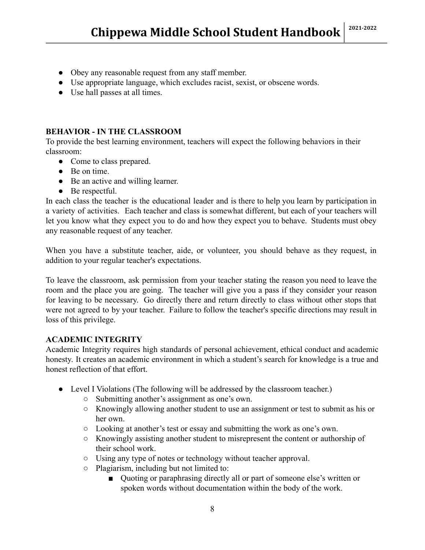- Obey any reasonable request from any staff member.
- Use appropriate language, which excludes racist, sexist, or obscene words.
- Use hall passes at all times.

#### **BEHAVIOR - IN THE CLASSROOM**

To provide the best learning environment, teachers will expect the following behaviors in their classroom:

- Come to class prepared.
- Be on time.
- Be an active and willing learner.
- Be respectful.

In each class the teacher is the educational leader and is there to help you learn by participation in a variety of activities. Each teacher and class is somewhat different, but each of your teachers will let you know what they expect you to do and how they expect you to behave. Students must obey any reasonable request of any teacher.

When you have a substitute teacher, aide, or volunteer, you should behave as they request, in addition to your regular teacher's expectations.

To leave the classroom, ask permission from your teacher stating the reason you need to leave the room and the place you are going. The teacher will give you a pass if they consider your reason for leaving to be necessary. Go directly there and return directly to class without other stops that were not agreed to by your teacher. Failure to follow the teacher's specific directions may result in loss of this privilege.

#### **ACADEMIC INTEGRITY**

Academic Integrity requires high standards of personal achievement, ethical conduct and academic honesty. It creates an academic environment in which a student's search for knowledge is a true and honest reflection of that effort.

- Level I Violations (The following will be addressed by the classroom teacher.)
	- Submitting another's assignment as one's own.
	- Knowingly allowing another student to use an assignment or test to submit as his or her own.
	- Looking at another's test or essay and submitting the work as one's own.
	- Knowingly assisting another student to misrepresent the content or authorship of their school work.
	- Using any type of notes or technology without teacher approval.
	- Plagiarism, including but not limited to:
		- Ouoting or paraphrasing directly all or part of someone else's written or spoken words without documentation within the body of the work.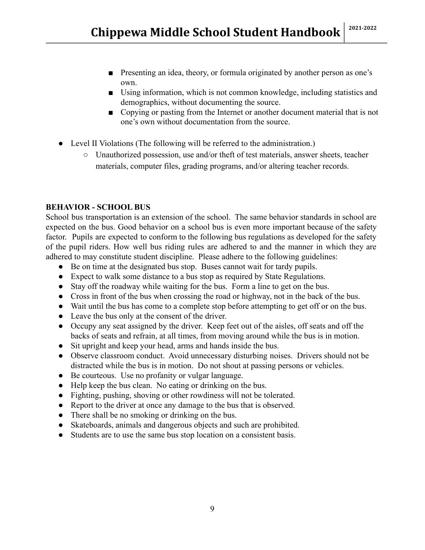- Presenting an idea, theory, or formula originated by another person as one's own.
- Using information, which is not common knowledge, including statistics and demographics, without documenting the source.
- Copying or pasting from the Internet or another document material that is not one's own without documentation from the source.
- Level II Violations (The following will be referred to the administration.)
	- Unauthorized possession, use and/or theft of test materials, answer sheets, teacher materials, computer files, grading programs, and/or altering teacher records.

#### **BEHAVIOR - SCHOOL BUS**

School bus transportation is an extension of the school. The same behavior standards in school are expected on the bus. Good behavior on a school bus is even more important because of the safety factor. Pupils are expected to conform to the following bus regulations as developed for the safety of the pupil riders. How well bus riding rules are adhered to and the manner in which they are adhered to may constitute student discipline. Please adhere to the following guidelines:

- Be on time at the designated bus stop. Buses cannot wait for tardy pupils.
- Expect to walk some distance to a bus stop as required by State Regulations.
- Stay off the roadway while waiting for the bus. Form a line to get on the bus.
- Cross in front of the bus when crossing the road or highway, not in the back of the bus.
- Wait until the bus has come to a complete stop before attempting to get off or on the bus.
- Leave the bus only at the consent of the driver.
- Occupy any seat assigned by the driver. Keep feet out of the aisles, off seats and off the backs of seats and refrain, at all times, from moving around while the bus is in motion.
- Sit upright and keep your head, arms and hands inside the bus.
- Observe classroom conduct. Avoid unnecessary disturbing noises. Drivers should not be distracted while the bus is in motion. Do not shout at passing persons or vehicles.
- Be courteous. Use no profanity or vulgar language.
- Help keep the bus clean. No eating or drinking on the bus.
- Fighting, pushing, shoving or other rowdiness will not be tolerated.
- Report to the driver at once any damage to the bus that is observed.
- There shall be no smoking or drinking on the bus.
- Skateboards, animals and dangerous objects and such are prohibited.
- Students are to use the same bus stop location on a consistent basis.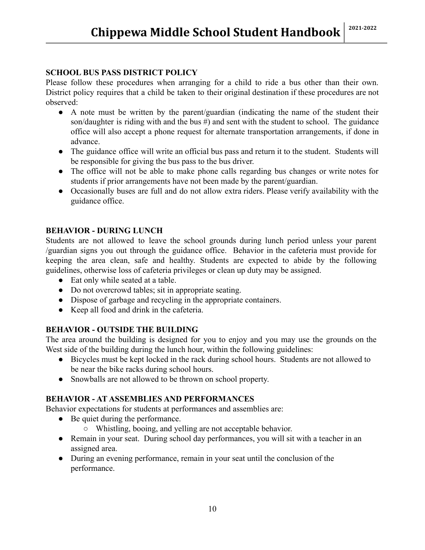#### **SCHOOL BUS PASS DISTRICT POLICY**

Please follow these procedures when arranging for a child to ride a bus other than their own. District policy requires that a child be taken to their original destination if these procedures are not observed:

- A note must be written by the parent/guardian (indicating the name of the student their son/daughter is riding with and the bus #) and sent with the student to school. The guidance office will also accept a phone request for alternate transportation arrangements, if done in advance.
- The guidance office will write an official bus pass and return it to the student. Students will be responsible for giving the bus pass to the bus driver.
- The office will not be able to make phone calls regarding bus changes or write notes for students if prior arrangements have not been made by the parent/guardian.
- Occasionally buses are full and do not allow extra riders. Please verify availability with the guidance office.

#### **BEHAVIOR - DURING LUNCH**

Students are not allowed to leave the school grounds during lunch period unless your parent /guardian signs you out through the guidance office. Behavior in the cafeteria must provide for keeping the area clean, safe and healthy. Students are expected to abide by the following guidelines, otherwise loss of cafeteria privileges or clean up duty may be assigned.

- Eat only while seated at a table.
- Do not overcrowd tables; sit in appropriate seating.
- Dispose of garbage and recycling in the appropriate containers.
- Keep all food and drink in the cafeteria.

#### **BEHAVIOR - OUTSIDE THE BUILDING**

The area around the building is designed for you to enjoy and you may use the grounds on the West side of the building during the lunch hour, within the following guidelines:

- Bicycles must be kept locked in the rack during school hours. Students are not allowed to be near the bike racks during school hours.
- Snowballs are not allowed to be thrown on school property.

#### **BEHAVIOR - AT ASSEMBLIES AND PERFORMANCES**

Behavior expectations for students at performances and assemblies are:

- Be quiet during the performance.
	- Whistling, booing, and yelling are not acceptable behavior.
- Remain in your seat. During school day performances, you will sit with a teacher in an assigned area.
- During an evening performance, remain in your seat until the conclusion of the performance.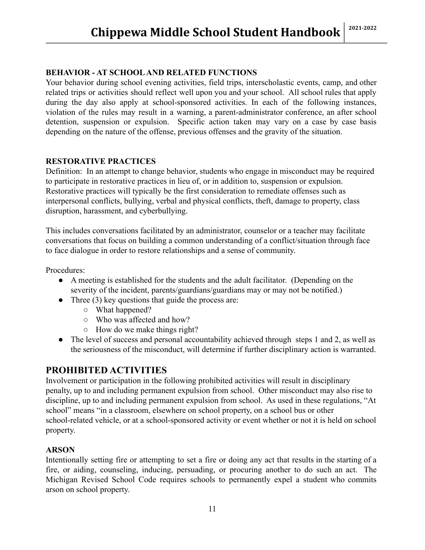#### **BEHAVIOR - AT SCHOOLAND RELATED FUNCTIONS**

Your behavior during school evening activities, field trips, interscholastic events, camp, and other related trips or activities should reflect well upon you and your school. All school rules that apply during the day also apply at school-sponsored activities. In each of the following instances, violation of the rules may result in a warning, a parent-administrator conference, an after school detention, suspension or expulsion. Specific action taken may vary on a case by case basis depending on the nature of the offense, previous offenses and the gravity of the situation.

#### **RESTORATIVE PRACTICES**

Definition: In an attempt to change behavior, students who engage in misconduct may be required to participate in restorative practices in lieu of, or in addition to, suspension or expulsion. Restorative practices will typically be the first consideration to remediate offenses such as interpersonal conflicts, bullying, verbal and physical conflicts, theft, damage to property, class disruption, harassment, and cyberbullying.

This includes conversations facilitated by an administrator, counselor or a teacher may facilitate conversations that focus on building a common understanding of a conflict/situation through face to face dialogue in order to restore relationships and a sense of community.

Procedures:

- A meeting is established for the students and the adult facilitator. (Depending on the severity of the incident, parents/guardians/guardians may or may not be notified.)
- Three  $(3)$  key questions that guide the process are:
	- What happened?
	- Who was affected and how?
	- How do we make things right?
- The level of success and personal accountability achieved through steps 1 and 2, as well as the seriousness of the misconduct, will determine if further disciplinary action is warranted.

#### **PROHIBITED ACTIVITIES**

Involvement or participation in the following prohibited activities will result in disciplinary penalty, up to and including permanent expulsion from school. Other misconduct may also rise to discipline, up to and including permanent expulsion from school. As used in these regulations, "At school" means "in a classroom, elsewhere on school property, on a school bus or other school-related vehicle, or at a school-sponsored activity or event whether or not it is held on school property.

#### **ARSON**

Intentionally setting fire or attempting to set a fire or doing any act that results in the starting of a fire, or aiding, counseling, inducing, persuading, or procuring another to do such an act. The Michigan Revised School Code requires schools to permanently expel a student who commits arson on school property.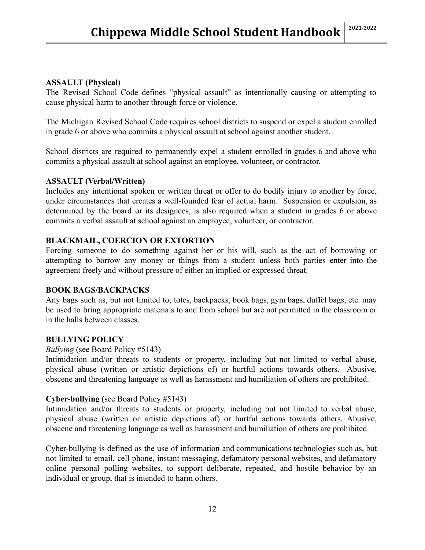#### **ASSAULT (Physical)**

The Revised School Code defines "physical assault" as intentionally causing or attempting to cause physical harm to another through force or violence.

The Michigan Revised School Code requires school districts to suspend or expel a student enrolled in grade 6 or above who commits a physical assault at school against another student.

School districts are required to permanently expel a student enrolled in grades 6 and above who commits a physical assault at school against an employee, volunteer, or contractor.

#### **ASSAULT (Verbal/Written)**

Includes any intentional spoken or written threat or offer to do bodily injury to another by force, under circumstances that creates a well-founded fear of actual harm. Suspension or expulsion, as determined by the board or its designees, is also required when a student in grades 6 or above commits a verbal assault at school against an employee, volunteer, or contractor.

#### **BLACKMAIL, COERCION OR EXTORTION**

Forcing someone to do something against her or his will, such as the act of borrowing or attempting to borrow any money or things from a student unless both parties enter into the agreement freely and without pressure of either an implied or expressed threat.

#### **BOOK BAGS/BACKPACKS**

Any bags such as, but not limited to, totes, backpacks, book bags, gym bags, duffel bags, etc. may be used to bring appropriate materials to and from school but are not permitted in the classroom or in the halls between classes.

#### **BULLYING POLICY**

#### *Bullying* (see Board Policy #5143)

Intimidation and/or threats to students or property, including but not limited to verbal abuse, physical abuse (written or artistic depictions of) or hurtful actions towards others. Abusive, obscene and threatening language as well as harassment and humiliation of others are prohibited.

#### **Cyber-bullying (**see Board Policy #5143)

Intimidation and/or threats to students or property, including but not limited to verbal abuse, physical abuse (written or artistic depictions of) or hurtful actions towards others. Abusive, obscene and threatening language as well as harassment and humiliation of others are prohibited.

Cyber-bullying is defined as the use of information and communications technologies such as, but not limited to email, cell phone, instant messaging, defamatory personal websites, and defamatory online personal polling websites, to support deliberate, repeated, and hostile behavior by an individual or group, that is intended to harm others.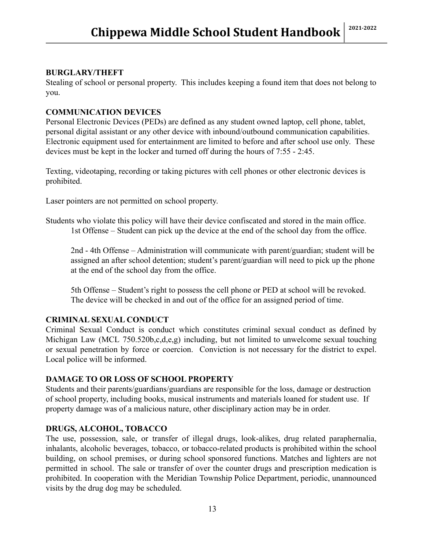#### **BURGLARY/THEFT**

Stealing of school or personal property. This includes keeping a found item that does not belong to you.

#### **COMMUNICATION DEVICES**

Personal Electronic Devices (PEDs) are defined as any student owned laptop, cell phone, tablet, personal digital assistant or any other device with inbound/outbound communication capabilities. Electronic equipment used for entertainment are limited to before and after school use only. These devices must be kept in the locker and turned off during the hours of 7:55 - 2:45.

Texting, videotaping, recording or taking pictures with cell phones or other electronic devices is prohibited.

Laser pointers are not permitted on school property.

Students who violate this policy will have their device confiscated and stored in the main office. 1st Offense – Student can pick up the device at the end of the school day from the office.

2nd - 4th Offense – Administration will communicate with parent/guardian; student will be assigned an after school detention; student's parent/guardian will need to pick up the phone at the end of the school day from the office.

5th Offense – Student's right to possess the cell phone or PED at school will be revoked. The device will be checked in and out of the office for an assigned period of time.

#### **CRIMINAL SEXUAL CONDUCT**

Criminal Sexual Conduct is conduct which constitutes criminal sexual conduct as defined by Michigan Law (MCL 750.520b,c,d,e,g) including, but not limited to unwelcome sexual touching or sexual penetration by force or coercion. Conviction is not necessary for the district to expel. Local police will be informed.

#### **DAMAGE TO OR LOSS OF SCHOOL PROPERTY**

Students and their parents/guardians/guardians are responsible for the loss, damage or destruction of school property, including books, musical instruments and materials loaned for student use. If property damage was of a malicious nature, other disciplinary action may be in order.

#### **DRUGS, ALCOHOL, TOBACCO**

The use, possession, sale, or transfer of illegal drugs, look-alikes, drug related paraphernalia, inhalants, alcoholic beverages, tobacco, or tobacco-related products is prohibited within the school building, on school premises, or during school sponsored functions. Matches and lighters are not permitted in school. The sale or transfer of over the counter drugs and prescription medication is prohibited. In cooperation with the Meridian Township Police Department, periodic, unannounced visits by the drug dog may be scheduled.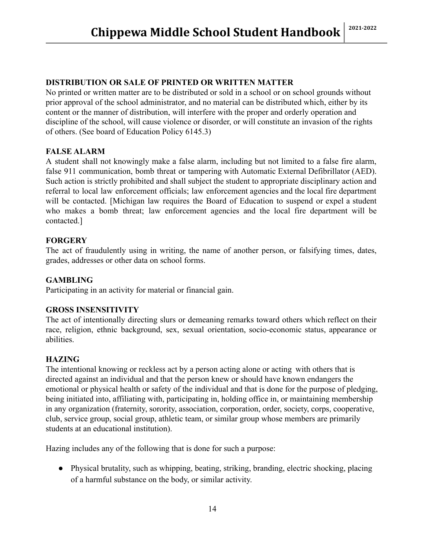#### **DISTRIBUTION OR SALE OF PRINTED OR WRITTEN MATTER**

No printed or written matter are to be distributed or sold in a school or on school grounds without prior approval of the school administrator, and no material can be distributed which, either by its content or the manner of distribution, will interfere with the proper and orderly operation and discipline of the school, will cause violence or disorder, or will constitute an invasion of the rights of others. (See board of Education Policy 6145.3)

#### **FALSE ALARM**

A student shall not knowingly make a false alarm, including but not limited to a false fire alarm, false 911 communication, bomb threat or tampering with Automatic External Defibrillator (AED). Such action is strictly prohibited and shall subject the student to appropriate disciplinary action and referral to local law enforcement officials; law enforcement agencies and the local fire department will be contacted. [Michigan law requires the Board of Education to suspend or expel a student who makes a bomb threat; law enforcement agencies and the local fire department will be contacted.]

#### **FORGERY**

The act of fraudulently using in writing, the name of another person, or falsifying times, dates, grades, addresses or other data on school forms.

#### **GAMBLING**

Participating in an activity for material or financial gain.

#### **GROSS INSENSITIVITY**

The act of intentionally directing slurs or demeaning remarks toward others which reflect on their race, religion, ethnic background, sex, sexual orientation, socio-economic status, appearance or abilities.

#### **HAZING**

The intentional knowing or reckless act by a person acting alone or acting with others that is directed against an individual and that the person knew or should have known endangers the emotional or physical health or safety of the individual and that is done for the purpose of pledging, being initiated into, affiliating with, participating in, holding office in, or maintaining membership in any organization (fraternity, sorority, association, corporation, order, society, corps, cooperative, club, service group, social group, athletic team, or similar group whose members are primarily students at an educational institution).

Hazing includes any of the following that is done for such a purpose:

● Physical brutality, such as whipping, beating, striking, branding, electric shocking, placing of a harmful substance on the body, or similar activity.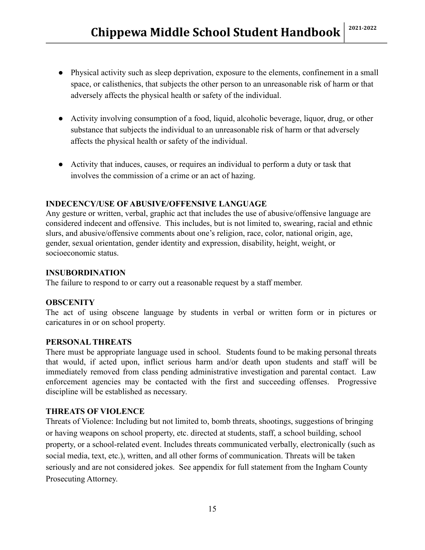- Physical activity such as sleep deprivation, exposure to the elements, confinement in a small space, or calisthenics, that subjects the other person to an unreasonable risk of harm or that adversely affects the physical health or safety of the individual.
- Activity involving consumption of a food, liquid, alcoholic beverage, liquor, drug, or other substance that subjects the individual to an unreasonable risk of harm or that adversely affects the physical health or safety of the individual.
- Activity that induces, causes, or requires an individual to perform a duty or task that involves the commission of a crime or an act of hazing.

#### **INDECENCY/USE OF ABUSIVE/OFFENSIVE LANGUAGE**

Any gesture or written, verbal, graphic act that includes the use of abusive/offensive language are considered indecent and offensive. This includes, but is not limited to, swearing, racial and ethnic slurs, and abusive/offensive comments about one's religion, race, color, national origin, age, gender, sexual orientation, gender identity and expression, disability, height, weight, or socioeconomic status.

#### **INSUBORDINATION**

The failure to respond to or carry out a reasonable request by a staff member.

#### **OBSCENITY**

The act of using obscene language by students in verbal or written form or in pictures or caricatures in or on school property.

#### **PERSONAL THREATS**

There must be appropriate language used in school. Students found to be making personal threats that would, if acted upon, inflict serious harm and/or death upon students and staff will be immediately removed from class pending administrative investigation and parental contact. Law enforcement agencies may be contacted with the first and succeeding offenses. Progressive discipline will be established as necessary.

#### **THREATS OF VIOLENCE**

Threats of Violence: Including but not limited to, bomb threats, shootings, suggestions of bringing or having weapons on school property, etc. directed at students, staff, a school building, school property, or a school-related event. Includes threats communicated verbally, electronically (such as social media, text, etc.), written, and all other forms of communication. Threats will be taken seriously and are not considered jokes. See appendix for full statement from the Ingham County Prosecuting Attorney.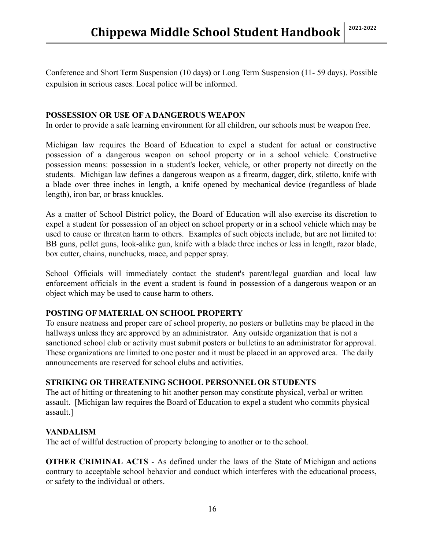Conference and Short Term Suspension (10 days**)** or Long Term Suspension (11- 59 days). Possible expulsion in serious cases. Local police will be informed.

#### **POSSESSION OR USE OF A DANGEROUS WEAPON**

In order to provide a safe learning environment for all children, our schools must be weapon free.

Michigan law requires the Board of Education to expel a student for actual or constructive possession of a dangerous weapon on school property or in a school vehicle. Constructive possession means: possession in a student's locker, vehicle, or other property not directly on the students. Michigan law defines a dangerous weapon as a firearm, dagger, dirk, stiletto, knife with a blade over three inches in length, a knife opened by mechanical device (regardless of blade length), iron bar, or brass knuckles.

As a matter of School District policy, the Board of Education will also exercise its discretion to expel a student for possession of an object on school property or in a school vehicle which may be used to cause or threaten harm to others. Examples of such objects include, but are not limited to: BB guns, pellet guns, look-alike gun, knife with a blade three inches or less in length, razor blade, box cutter, chains, nunchucks, mace, and pepper spray.

School Officials will immediately contact the student's parent/legal guardian and local law enforcement officials in the event a student is found in possession of a dangerous weapon or an object which may be used to cause harm to others.

#### **POSTING OF MATERIAL ON SCHOOL PROPERTY**

To ensure neatness and proper care of school property, no posters or bulletins may be placed in the hallways unless they are approved by an administrator. Any outside organization that is not a sanctioned school club or activity must submit posters or bulletins to an administrator for approval. These organizations are limited to one poster and it must be placed in an approved area. The daily announcements are reserved for school clubs and activities.

#### **STRIKING OR THREATENING SCHOOL PERSONNEL OR STUDENTS**

The act of hitting or threatening to hit another person may constitute physical, verbal or written assault. [Michigan law requires the Board of Education to expel a student who commits physical assault.]

#### **VANDALISM**

The act of willful destruction of property belonging to another or to the school.

**OTHER CRIMINAL ACTS** - As defined under the laws of the State of Michigan and actions contrary to acceptable school behavior and conduct which interferes with the educational process, or safety to the individual or others.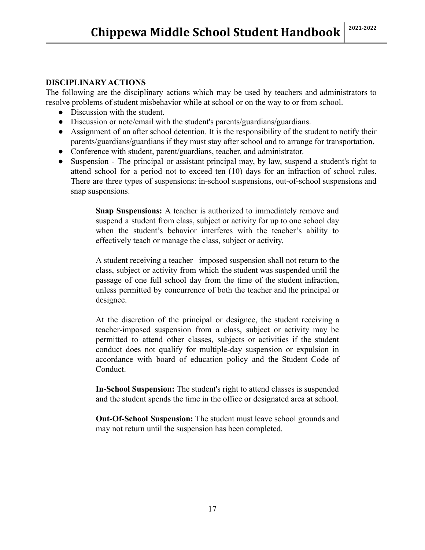#### **DISCIPLINARY ACTIONS**

The following are the disciplinary actions which may be used by teachers and administrators to resolve problems of student misbehavior while at school or on the way to or from school.

- Discussion with the student.
- Discussion or note/email with the student's parents/guardians/guardians.
- Assignment of an after school detention. It is the responsibility of the student to notify their parents/guardians/guardians if they must stay after school and to arrange for transportation.
- Conference with student, parent/guardians, teacher, and administrator.
- Suspension The principal or assistant principal may, by law, suspend a student's right to attend school for a period not to exceed ten (10) days for an infraction of school rules. There are three types of suspensions: in-school suspensions, out-of-school suspensions and snap suspensions.

**Snap Suspensions:** A teacher is authorized to immediately remove and suspend a student from class, subject or activity for up to one school day when the student's behavior interferes with the teacher's ability to effectively teach or manage the class, subject or activity.

A student receiving a teacher –imposed suspension shall not return to the class, subject or activity from which the student was suspended until the passage of one full school day from the time of the student infraction, unless permitted by concurrence of both the teacher and the principal or designee.

At the discretion of the principal or designee, the student receiving a teacher-imposed suspension from a class, subject or activity may be permitted to attend other classes, subjects or activities if the student conduct does not qualify for multiple-day suspension or expulsion in accordance with board of education policy and the Student Code of Conduct.

**In-School Suspension:** The student's right to attend classes is suspended and the student spends the time in the office or designated area at school.

**Out-Of-School Suspension:** The student must leave school grounds and may not return until the suspension has been completed.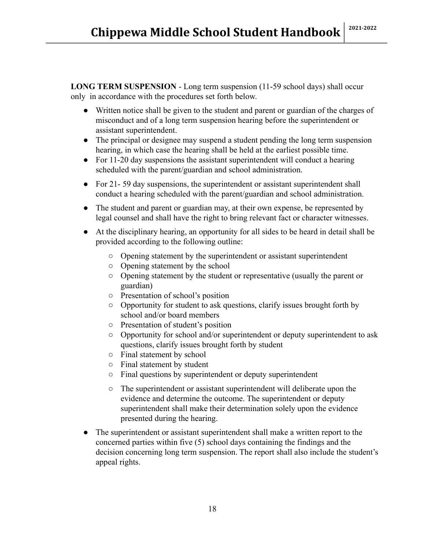**LONG TERM SUSPENSION** - Long term suspension (11-59 school days) shall occur only in accordance with the procedures set forth below.

- Written notice shall be given to the student and parent or guardian of the charges of misconduct and of a long term suspension hearing before the superintendent or assistant superintendent.
- The principal or designee may suspend a student pending the long term suspension hearing, in which case the hearing shall be held at the earliest possible time.
- For 11-20 day suspensions the assistant superintendent will conduct a hearing scheduled with the parent/guardian and school administration.
- For 21-59 day suspensions, the superintendent or assistant superintendent shall conduct a hearing scheduled with the parent/guardian and school administration.
- The student and parent or guardian may, at their own expense, be represented by legal counsel and shall have the right to bring relevant fact or character witnesses.
- At the disciplinary hearing, an opportunity for all sides to be heard in detail shall be provided according to the following outline:
	- Opening statement by the superintendent or assistant superintendent
	- Opening statement by the school
	- Opening statement by the student or representative (usually the parent or guardian)
	- Presentation of school's position
	- Opportunity for student to ask questions, clarify issues brought forth by school and/or board members
	- Presentation of student's position
	- Opportunity for school and/or superintendent or deputy superintendent to ask questions, clarify issues brought forth by student
	- Final statement by school
	- Final statement by student
	- Final questions by superintendent or deputy superintendent
	- The superintendent or assistant superintendent will deliberate upon the evidence and determine the outcome. The superintendent or deputy superintendent shall make their determination solely upon the evidence presented during the hearing.
- The superintendent or assistant superintendent shall make a written report to the concerned parties within five (5) school days containing the findings and the decision concerning long term suspension. The report shall also include the student's appeal rights.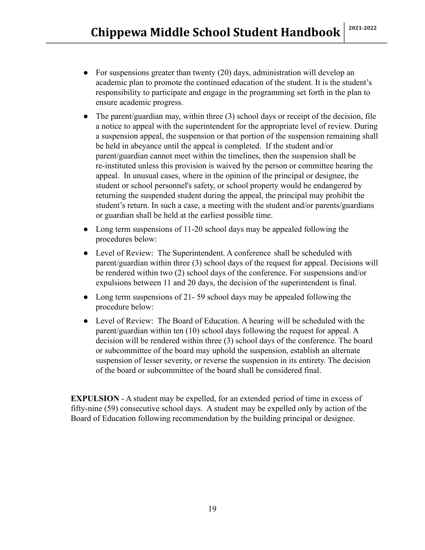- For suspensions greater than twenty (20) days, administration will develop an academic plan to promote the continued education of the student. It is the student's responsibility to participate and engage in the programming set forth in the plan to ensure academic progress.
- $\bullet$  The parent/guardian may, within three (3) school days or receipt of the decision, file a notice to appeal with the superintendent for the appropriate level of review. During a suspension appeal, the suspension or that portion of the suspension remaining shall be held in abeyance until the appeal is completed. If the student and/or parent/guardian cannot meet within the timelines, then the suspension shall be re-instituted unless this provision is waived by the person or committee hearing the appeal. In unusual cases, where in the opinion of the principal or designee, the student or school personnel's safety, or school property would be endangered by returning the suspended student during the appeal, the principal may prohibit the student's return. In such a case, a meeting with the student and/or parents/guardians or guardian shall be held at the earliest possible time.
- Long term suspensions of 11-20 school days may be appealed following the procedures below:
- Level of Review: The Superintendent. A conference shall be scheduled with parent/guardian within three (3) school days of the request for appeal. Decisions will be rendered within two (2) school days of the conference. For suspensions and/or expulsions between 11 and 20 days, the decision of the superintendent is final.
- Long term suspensions of 21-59 school days may be appealed following the procedure below:
- Level of Review: The Board of Education. A hearing will be scheduled with the parent/guardian within ten (10) school days following the request for appeal. A decision will be rendered within three (3) school days of the conference. The board or subcommittee of the board may uphold the suspension, establish an alternate suspension of lesser severity, or reverse the suspension in its entirety. The decision of the board or subcommittee of the board shall be considered final.

**EXPULSION** - A student may be expelled, for an extended period of time in excess of fifty-nine (59) consecutive school days. A student may be expelled only by action of the Board of Education following recommendation by the building principal or designee.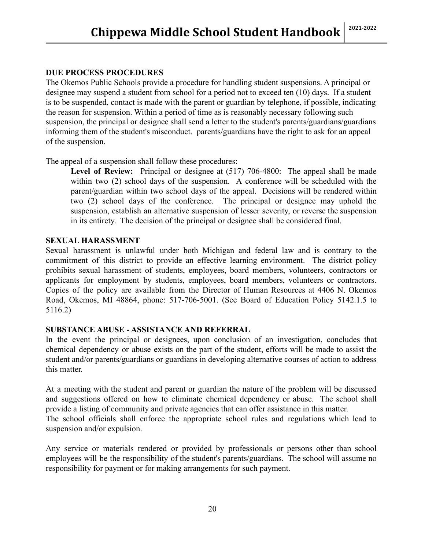#### **DUE PROCESS PROCEDURES**

The Okemos Public Schools provide a procedure for handling student suspensions. A principal or designee may suspend a student from school for a period not to exceed ten (10) days. If a student is to be suspended, contact is made with the parent or guardian by telephone, if possible, indicating the reason for suspension. Within a period of time as is reasonably necessary following such suspension, the principal or designee shall send a letter to the student's parents/guardians/guardians informing them of the student's misconduct. parents/guardians have the right to ask for an appeal of the suspension.

The appeal of a suspension shall follow these procedures:

**Level of Review:** Principal or designee at (517) 706-4800: The appeal shall be made within two (2) school days of the suspension. A conference will be scheduled with the parent/guardian within two school days of the appeal. Decisions will be rendered within two (2) school days of the conference. The principal or designee may uphold the suspension, establish an alternative suspension of lesser severity, or reverse the suspension in its entirety. The decision of the principal or designee shall be considered final.

#### **SEXUAL HARASSMENT**

Sexual harassment is unlawful under both Michigan and federal law and is contrary to the commitment of this district to provide an effective learning environment. The district policy prohibits sexual harassment of students, employees, board members, volunteers, contractors or applicants for employment by students, employees, board members, volunteers or contractors. Copies of the policy are available from the Director of Human Resources at 4406 N. Okemos Road, Okemos, MI 48864, phone: 517-706-5001. (See Board of Education Policy 5142.1.5 to 5116.2)

#### **SUBSTANCE ABUSE - ASSISTANCE AND REFERRAL**

In the event the principal or designees, upon conclusion of an investigation, concludes that chemical dependency or abuse exists on the part of the student, efforts will be made to assist the student and/or parents/guardians or guardians in developing alternative courses of action to address this matter.

At a meeting with the student and parent or guardian the nature of the problem will be discussed and suggestions offered on how to eliminate chemical dependency or abuse. The school shall provide a listing of community and private agencies that can offer assistance in this matter. The school officials shall enforce the appropriate school rules and regulations which lead to suspension and/or expulsion.

Any service or materials rendered or provided by professionals or persons other than school employees will be the responsibility of the student's parents/guardians. The school will assume no responsibility for payment or for making arrangements for such payment.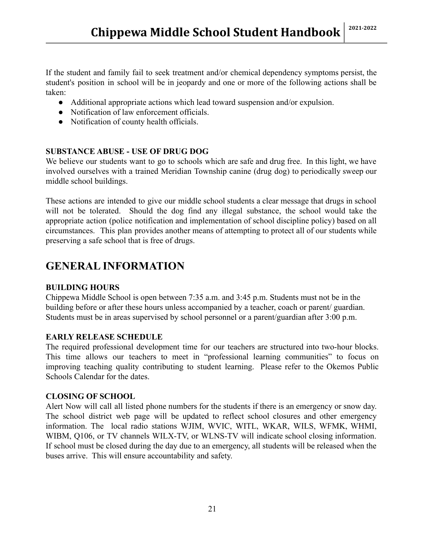If the student and family fail to seek treatment and/or chemical dependency symptoms persist, the student's position in school will be in jeopardy and one or more of the following actions shall be taken:

- Additional appropriate actions which lead toward suspension and/or expulsion.
- Notification of law enforcement officials.
- Notification of county health officials.

#### **SUBSTANCE ABUSE - USE OF DRUG DOG**

We believe our students want to go to schools which are safe and drug free. In this light, we have involved ourselves with a trained Meridian Township canine (drug dog) to periodically sweep our middle school buildings.

These actions are intended to give our middle school students a clear message that drugs in school will not be tolerated. Should the dog find any illegal substance, the school would take the appropriate action (police notification and implementation of school discipline policy) based on all circumstances. This plan provides another means of attempting to protect all of our students while preserving a safe school that is free of drugs.

## **GENERAL INFORMATION**

#### **BUILDING HOURS**

Chippewa Middle School is open between 7:35 a.m. and 3:45 p.m. Students must not be in the building before or after these hours unless accompanied by a teacher, coach or parent/ guardian. Students must be in areas supervised by school personnel or a parent/guardian after 3:00 p.m.

#### **EARLY RELEASE SCHEDULE**

The required professional development time for our teachers are structured into two-hour blocks. This time allows our teachers to meet in "professional learning communities" to focus on improving teaching quality contributing to student learning. Please refer to the Okemos Public Schools Calendar for the dates.

#### **CLOSING OF SCHOOL**

Alert Now will call all listed phone numbers for the students if there is an emergency or snow day. The school district web page will be updated to reflect school closures and other emergency information. The local radio stations WJIM, WVIC, WITL, WKAR, WILS, WFMK, WHMI, WIBM, Q106, or TV channels WILX-TV, or WLNS-TV will indicate school closing information. If school must be closed during the day due to an emergency, all students will be released when the buses arrive. This will ensure accountability and safety.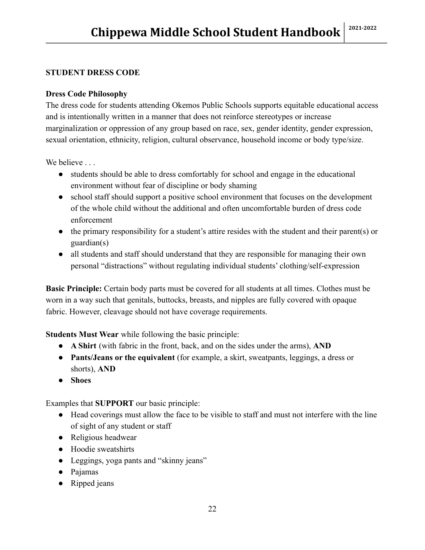#### **STUDENT DRESS CODE**

#### **Dress Code Philosophy**

The dress code for students attending Okemos Public Schools supports equitable educational access and is intentionally written in a manner that does not reinforce stereotypes or increase marginalization or oppression of any group based on race, sex, gender identity, gender expression, sexual orientation, ethnicity, religion, cultural observance, household income or body type/size.

We believe ...

- students should be able to dress comfortably for school and engage in the educational environment without fear of discipline or body shaming
- school staff should support a positive school environment that focuses on the development of the whole child without the additional and often uncomfortable burden of dress code enforcement
- the primary responsibility for a student's attire resides with the student and their parent(s) or guardian(s)
- all students and staff should understand that they are responsible for managing their own personal "distractions" without regulating individual students' clothing/self-expression

**Basic Principle:** Certain body parts must be covered for all students at all times. Clothes must be worn in a way such that genitals, buttocks, breasts, and nipples are fully covered with opaque fabric. However, cleavage should not have coverage requirements.

**Students Must Wear** while following the basic principle:

- **A Shirt** (with fabric in the front, back, and on the sides under the arms), **AND**
- **Pants/Jeans or the equivalent** (for example, a skirt, sweatpants, leggings, a dress or shorts), **AND**
- **Shoes**

Examples that **SUPPORT** our basic principle:

- Head coverings must allow the face to be visible to staff and must not interfere with the line of sight of any student or staff
- Religious headwear
- Hoodie sweatshirts
- Leggings, yoga pants and "skinny jeans"
- Pajamas
- Ripped jeans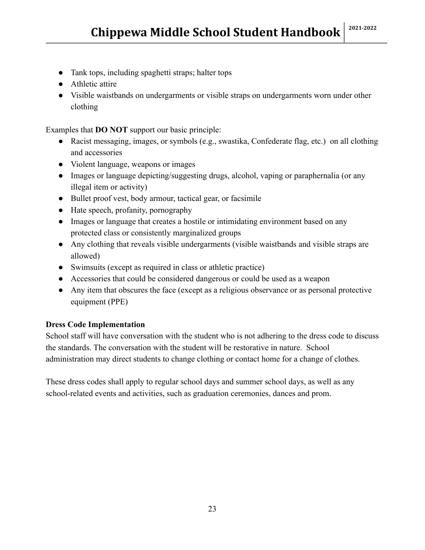- Tank tops, including spaghetti straps; halter tops
- Athletic attire
- Visible waistbands on undergarments or visible straps on undergarments worn under other clothing

Examples that **DO NOT** support our basic principle:

- Racist messaging, images, or symbols (e.g., swastika, Confederate flag, etc.) on all clothing and accessories
- Violent language, weapons or images
- Images or language depicting/suggesting drugs, alcohol, vaping or paraphernalia (or any illegal item or activity)
- Bullet proof vest, body armour, tactical gear, or facsimile
- Hate speech, profanity, pornography
- Images or language that creates a hostile or intimidating environment based on any protected class or consistently marginalized groups
- Any clothing that reveals visible undergarments (visible waistbands and visible straps are allowed)
- Swimsuits (except as required in class or athletic practice)
- Accessories that could be considered dangerous or could be used as a weapon
- Any item that obscures the face (except as a religious observance or as personal protective equipment (PPE)

#### **Dress Code Implementation**

School staff will have conversation with the student who is not adhering to the dress code to discuss the standards. The conversation with the student will be restorative in nature. School administration may direct students to change clothing or contact home for a change of clothes.

These dress codes shall apply to regular school days and summer school days, as well as any school-related events and activities, such as graduation ceremonies, dances and prom.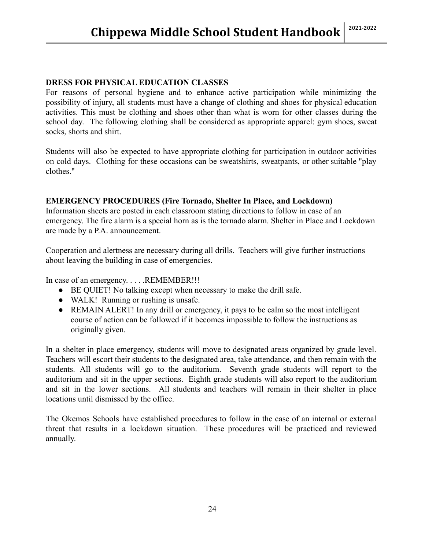#### **DRESS FOR PHYSICAL EDUCATION CLASSES**

For reasons of personal hygiene and to enhance active participation while minimizing the possibility of injury, all students must have a change of clothing and shoes for physical education activities. This must be clothing and shoes other than what is worn for other classes during the school day. The following clothing shall be considered as appropriate apparel: gym shoes, sweat socks, shorts and shirt.

Students will also be expected to have appropriate clothing for participation in outdoor activities on cold days. Clothing for these occasions can be sweatshirts, sweatpants, or other suitable "play clothes."

#### **EMERGENCY PROCEDURES (Fire Tornado, Shelter In Place, and Lockdown)**

Information sheets are posted in each classroom stating directions to follow in case of an emergency. The fire alarm is a special horn as is the tornado alarm. Shelter in Place and Lockdown are made by a P.A. announcement.

Cooperation and alertness are necessary during all drills. Teachers will give further instructions about leaving the building in case of emergencies.

In case of an emergency. . . . . REMEMBER!!!

- BE QUIET! No talking except when necessary to make the drill safe.
- WALK! Running or rushing is unsafe.
- REMAIN ALERT! In any drill or emergency, it pays to be calm so the most intelligent course of action can be followed if it becomes impossible to follow the instructions as originally given.

In a shelter in place emergency, students will move to designated areas organized by grade level. Teachers will escort their students to the designated area, take attendance, and then remain with the students. All students will go to the auditorium. Seventh grade students will report to the auditorium and sit in the upper sections. Eighth grade students will also report to the auditorium and sit in the lower sections. All students and teachers will remain in their shelter in place locations until dismissed by the office.

The Okemos Schools have established procedures to follow in the case of an internal or external threat that results in a lockdown situation. These procedures will be practiced and reviewed annually.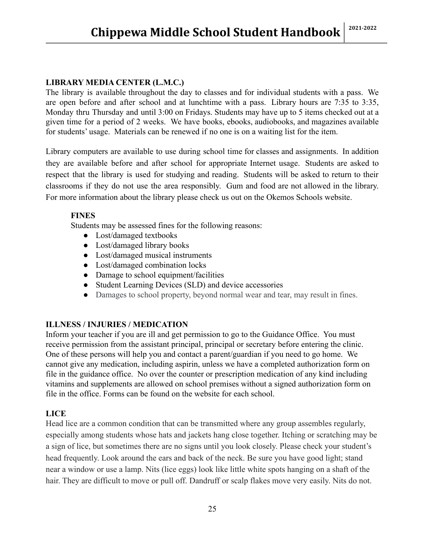#### **LIBRARY MEDIA CENTER (L.M.C.)**

The library is available throughout the day to classes and for individual students with a pass. We are open before and after school and at lunchtime with a pass. Library hours are 7:35 to 3:35, Monday thru Thursday and until 3:00 on Fridays. Students may have up to 5 items checked out at a given time for a period of 2 weeks. We have books, ebooks, audiobooks, and magazines available for students' usage. Materials can be renewed if no one is on a waiting list for the item.

Library computers are available to use during school time for classes and assignments. In addition they are available before and after school for appropriate Internet usage. Students are asked to respect that the library is used for studying and reading. Students will be asked to return to their classrooms if they do not use the area responsibly. Gum and food are not allowed in the library. For more information about the library please check us out on the Okemos Schools website.

#### **FINES**

Students may be assessed fines for the following reasons:

- Lost/damaged textbooks
- Lost/damaged library books
- Lost/damaged musical instruments
- Lost/damaged combination locks
- Damage to school equipment/facilities
- Student Learning Devices (SLD) and device accessories
- Damages to school property, beyond normal wear and tear, may result in fines.

#### **ILLNESS / INJURIES / MEDICATION**

Inform your teacher if you are ill and get permission to go to the Guidance Office. You must receive permission from the assistant principal, principal or secretary before entering the clinic. One of these persons will help you and contact a parent/guardian if you need to go home. We cannot give any medication, including aspirin, unless we have a completed authorization form on file in the guidance office. No over the counter or prescription medication of any kind including vitamins and supplements are allowed on school premises without a signed authorization form on file in the office. Forms can be found on the website for each school.

#### **LICE**

Head lice are a common condition that can be transmitted where any group assembles regularly, especially among students whose hats and jackets hang close together. Itching or scratching may be a sign of lice, but sometimes there are no signs until you look closely. Please check your student's head frequently. Look around the ears and back of the neck. Be sure you have good light; stand near a window or use a lamp. Nits (lice eggs) look like little white spots hanging on a shaft of the hair. They are difficult to move or pull off. Dandruff or scalp flakes move very easily. Nits do not.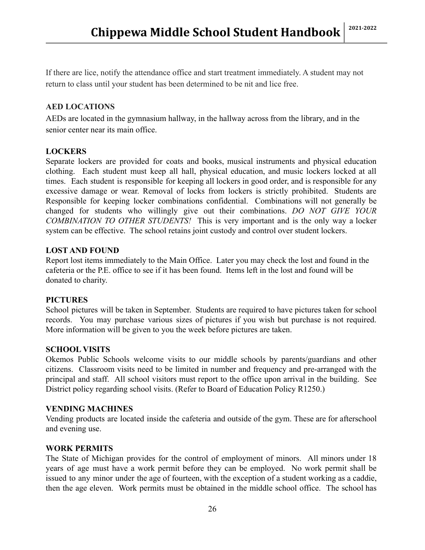If there are lice, notify the attendance office and start treatment immediately. A student may not return to class until your student has been determined to be nit and lice free.

#### **AED LOCATIONS**

AEDs are located in the gymnasium hallway, in the hallway across from the library, and in the senior center near its main office.

#### **LOCKERS**

Separate lockers are provided for coats and books, musical instruments and physical education clothing. Each student must keep all hall, physical education, and music lockers locked at all times. Each student is responsible for keeping all lockers in good order, and is responsible for any excessive damage or wear. Removal of locks from lockers is strictly prohibited. Students are Responsible for keeping locker combinations confidential. Combinations will not generally be changed for students who willingly give out their combinations. *DO NOT GIVE YOUR COMBINATION TO OTHER STUDENTS!* This is very important and is the only way a locker system can be effective. The school retains joint custody and control over student lockers.

#### **LOST AND FOUND**

Report lost items immediately to the Main Office. Later you may check the lost and found in the cafeteria or the P.E. office to see if it has been found. Items left in the lost and found will be donated to charity.

#### **PICTURES**

School pictures will be taken in September. Students are required to have pictures taken for school records. You may purchase various sizes of pictures if you wish but purchase is not required. More information will be given to you the week before pictures are taken.

#### **SCHOOL VISITS**

Okemos Public Schools welcome visits to our middle schools by parents/guardians and other citizens. Classroom visits need to be limited in number and frequency and pre-arranged with the principal and staff. All school visitors must report to the office upon arrival in the building. See District policy regarding school visits. (Refer to Board of Education Policy R1250.)

#### **VENDING MACHINES**

Vending products are located inside the cafeteria and outside of the gym. These are for afterschool and evening use.

#### **WORK PERMITS**

The State of Michigan provides for the control of employment of minors. All minors under 18 years of age must have a work permit before they can be employed. No work permit shall be issued to any minor under the age of fourteen, with the exception of a student working as a caddie, then the age eleven. Work permits must be obtained in the middle school office. The school has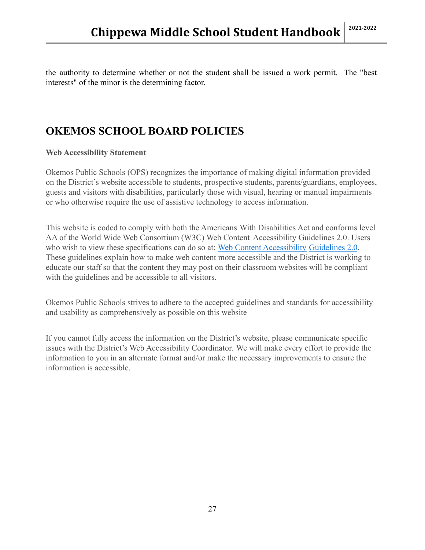the authority to determine whether or not the student shall be issued a work permit. The "best interests" of the minor is the determining factor.

## **OKEMOS SCHOOL BOARD POLICIES**

#### **Web Accessibility Statement**

Okemos Public Schools (OPS) recognizes the importance of making digital information provided on the District's website accessible to students, prospective students, parents/guardians, employees, guests and visitors with disabilities, particularly those with visual, hearing or manual impairments or who otherwise require the use of assistive technology to access information.

This website is coded to comply with both the Americans With Disabilities Act and conforms level AA of the World Wide Web Consortium (W3C) Web Content Accessibility Guidelines 2.0. Users who wish to view these specifications can do so at: [Web Content Accessibility](http://www.w3.org/TR/WCAG20/) [Guidelines 2.0](http://www.w3.org/TR/WCAG20/). These guidelines explain how to make web content more accessible and the District is working to educate our staff so that the content they may post on their classroom websites will be compliant with the guidelines and be accessible to all visitors.

Okemos Public Schools strives to adhere to the accepted guidelines and standards for accessibility and usability as comprehensively as possible on this website

If you cannot fully access the information on the District's website, please communicate specific issues with the District's Web Accessibility Coordinator. We will make every effort to provide the information to you in an alternate format and/or make the necessary improvements to ensure the information is accessible.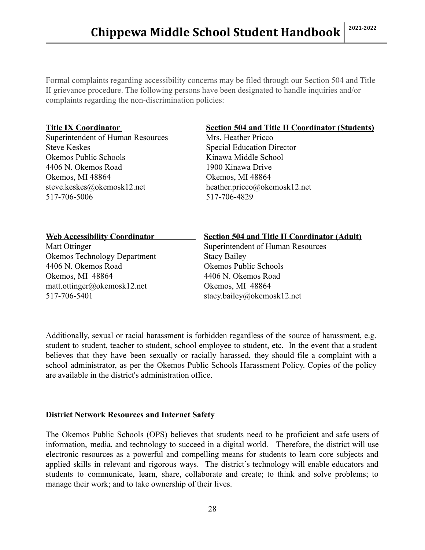Formal complaints regarding accessibility concerns may be filed through our Section 504 and Title II grievance procedure. The following persons have been designated to handle inquiries and/or complaints regarding the non-discrimination policies:

Superintendent of Human Resources Mrs. Heather Pricco Steve Keskes Special Education Director Okemos Public Schools Kinawa Middle School 4406 N. Okemos Road 1900 Kinawa Drive Okemos, MI 48864 Okemos, MI 48864 steve.keskes@okemosk12.net heather.pricco@okemosk12.net 517-706-5006 517-706-4829

#### **Title IX Coordinator Section 504 and Title II Coordinator (Students)**

| <b>Web Accessibility Coordinator</b> | <b>Section 504 and Title II Coordinator (Adult)</b> |
|--------------------------------------|-----------------------------------------------------|
| Matt Ottinger                        | Superintendent of Human Resources                   |
| <b>Okemos Technology Department</b>  | <b>Stacy Bailey</b>                                 |
| 4406 N. Okemos Road                  | Okemos Public Schools                               |
| Okemos, MI 48864                     | 4406 N. Okemos Road                                 |
| matt.ottinger@okemosk12.net          | Okemos, MI 48864                                    |
| 517-706-5401                         | stacy.bailey@okemosk12.net                          |
|                                      |                                                     |

Additionally, sexual or racial harassment is forbidden regardless of the source of harassment, e.g. student to student, teacher to student, school employee to student, etc. In the event that a student believes that they have been sexually or racially harassed, they should file a complaint with a school administrator, as per the Okemos Public Schools Harassment Policy. Copies of the policy are available in the district's administration office.

#### **District Network Resources and Internet Safety**

The Okemos Public Schools (OPS) believes that students need to be proficient and safe users of information, media, and technology to succeed in a digital world. Therefore, the district will use electronic resources as a powerful and compelling means for students to learn core subjects and applied skills in relevant and rigorous ways. The district's technology will enable educators and students to communicate, learn, share, collaborate and create; to think and solve problems; to manage their work; and to take ownership of their lives.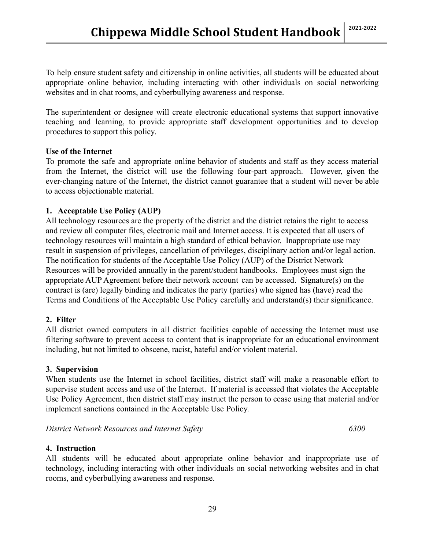To help ensure student safety and citizenship in online activities, all students will be educated about appropriate online behavior, including interacting with other individuals on social networking websites and in chat rooms, and cyberbullying awareness and response.

The superintendent or designee will create electronic educational systems that support innovative teaching and learning, to provide appropriate staff development opportunities and to develop procedures to support this policy.

#### **Use of the Internet**

To promote the safe and appropriate online behavior of students and staff as they access material from the Internet, the district will use the following four-part approach. However, given the ever-changing nature of the Internet, the district cannot guarantee that a student will never be able to access objectionable material.

#### **1. Acceptable Use Policy (AUP)**

All technology resources are the property of the district and the district retains the right to access and review all computer files, electronic mail and Internet access. It is expected that all users of technology resources will maintain a high standard of ethical behavior. Inappropriate use may result in suspension of privileges, cancellation of privileges, disciplinary action and/or legal action. The notification for students of the Acceptable Use Policy (AUP) of the District Network Resources will be provided annually in the parent/student handbooks. Employees must sign the appropriate AUP Agreement before their network account can be accessed. Signature(s) on the contract is (are) legally binding and indicates the party (parties) who signed has (have) read the Terms and Conditions of the Acceptable Use Policy carefully and understand(s) their significance.

#### **2. Filter**

All district owned computers in all district facilities capable of accessing the Internet must use filtering software to prevent access to content that is inappropriate for an educational environment including, but not limited to obscene, racist, hateful and/or violent material.

#### **3. Supervision**

When students use the Internet in school facilities, district staff will make a reasonable effort to supervise student access and use of the Internet. If material is accessed that violates the Acceptable Use Policy Agreement, then district staff may instruct the person to cease using that material and/or implement sanctions contained in the Acceptable Use Policy.

*District Network Resources and Internet Safety 6300*

#### **4. Instruction**

All students will be educated about appropriate online behavior and inappropriate use of technology, including interacting with other individuals on social networking websites and in chat rooms, and cyberbullying awareness and response.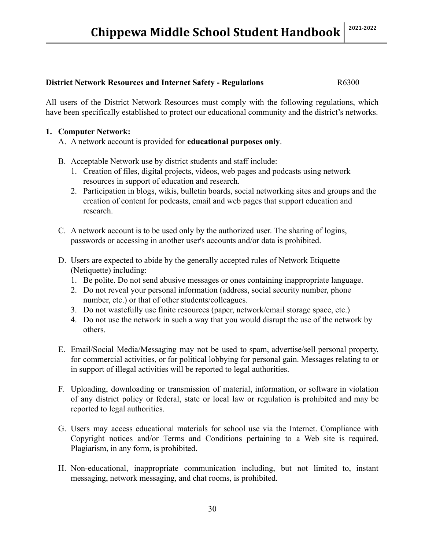#### **District Network Resources and Internet Safety - Regulations R6300**

All users of the District Network Resources must comply with the following regulations, which have been specifically established to protect our educational community and the district's networks.

#### **1. Computer Network:**

- A. A network account is provided for **educational purposes only**.
- B. Acceptable Network use by district students and staff include:
	- 1. Creation of files, digital projects, videos, web pages and podcasts using network resources in support of education and research.
	- 2. Participation in blogs, wikis, bulletin boards, social networking sites and groups and the creation of content for podcasts, email and web pages that support education and research.
- C. A network account is to be used only by the authorized user. The sharing of logins, passwords or accessing in another user's accounts and/or data is prohibited.
- D. Users are expected to abide by the generally accepted rules of Network Etiquette (Netiquette) including:
	- 1. Be polite. Do not send abusive messages or ones containing inappropriate language.
	- 2. Do not reveal your personal information (address, social security number, phone number, etc.) or that of other students/colleagues.
	- 3. Do not wastefully use finite resources (paper, network/email storage space, etc.)
	- 4. Do not use the network in such a way that you would disrupt the use of the network by others.
- E. Email/Social Media/Messaging may not be used to spam, advertise/sell personal property, for commercial activities, or for political lobbying for personal gain. Messages relating to or in support of illegal activities will be reported to legal authorities.
- F. Uploading, downloading or transmission of material, information, or software in violation of any district policy or federal, state or local law or regulation is prohibited and may be reported to legal authorities.
- G. Users may access educational materials for school use via the Internet. Compliance with Copyright notices and/or Terms and Conditions pertaining to a Web site is required. Plagiarism, in any form, is prohibited.
- H. Non-educational, inappropriate communication including, but not limited to, instant messaging, network messaging, and chat rooms, is prohibited.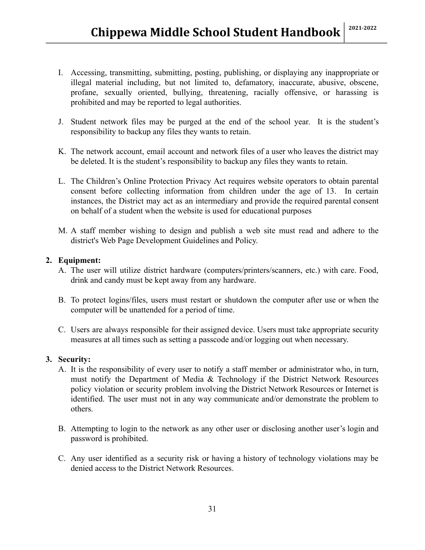- I. Accessing, transmitting, submitting, posting, publishing, or displaying any inappropriate or illegal material including, but not limited to, defamatory, inaccurate, abusive, obscene, profane, sexually oriented, bullying, threatening, racially offensive, or harassing is prohibited and may be reported to legal authorities.
- J. Student network files may be purged at the end of the school year. It is the student's responsibility to backup any files they wants to retain.
- K. The network account, email account and network files of a user who leaves the district may be deleted. It is the student's responsibility to backup any files they wants to retain.
- L. The Children's Online Protection Privacy Act requires website operators to obtain parental consent before collecting information from children under the age of 13. In certain instances, the District may act as an intermediary and provide the required parental consent on behalf of a student when the website is used for educational purposes
- M. A staff member wishing to design and publish a web site must read and adhere to the district's Web Page Development Guidelines and Policy.

#### **2. Equipment:**

- A. The user will utilize district hardware (computers/printers/scanners, etc.) with care. Food, drink and candy must be kept away from any hardware.
- B. To protect logins/files, users must restart or shutdown the computer after use or when the computer will be unattended for a period of time.
- C. Users are always responsible for their assigned device. Users must take appropriate security measures at all times such as setting a passcode and/or logging out when necessary.

#### **3. Security:**

- A. It is the responsibility of every user to notify a staff member or administrator who, in turn, must notify the Department of Media & Technology if the District Network Resources policy violation or security problem involving the District Network Resources or Internet is identified. The user must not in any way communicate and/or demonstrate the problem to others.
- B. Attempting to login to the network as any other user or disclosing another user's login and password is prohibited.
- C. Any user identified as a security risk or having a history of technology violations may be denied access to the District Network Resources.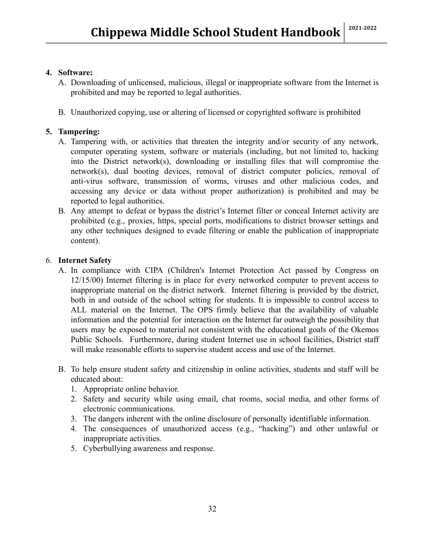#### **4. Software:**

- A. Downloading of unlicensed, malicious, illegal or inappropriate software from the Internet is prohibited and may be reported to legal authorities.
- B. Unauthorized copying, use or altering of licensed or copyrighted software is prohibited

#### **5. Tampering:**

- A. Tampering with, or activities that threaten the integrity and/or security of any network, computer operating system, software or materials (including, but not limited to, hacking into the District network(s), downloading or installing files that will compromise the network(s), dual booting devices, removal of district computer policies, removal of anti-virus software, transmission of worms, viruses and other malicious codes, and accessing any device or data without proper authorization) is prohibited and may be reported to legal authorities.
- B. Any attempt to defeat or bypass the district's Internet filter or conceal Internet activity are prohibited (e.g., proxies, https, special ports, modifications to district browser settings and any other techniques designed to evade filtering or enable the publication of inappropriate content).

#### 6. **Internet Safety**

- A. In compliance with CIPA (Children's Internet Protection Act passed by Congress on 12/15/00) Internet filtering is in place for every networked computer to prevent access to inappropriate material on the district network. Internet filtering is provided by the district, both in and outside of the school setting for students. It is impossible to control access to ALL material on the Internet. The OPS firmly believe that the availability of valuable information and the potential for interaction on the Internet far outweigh the possibility that users may be exposed to material not consistent with the educational goals of the Okemos Public Schools. Furthermore, during student Internet use in school facilities, District staff will make reasonable efforts to supervise student access and use of the Internet.
- B. To help ensure student safety and citizenship in online activities, students and staff will be educated about:
	- 1. Appropriate online behavior.
	- 2. Safety and security while using email, chat rooms, social media, and other forms of electronic communications.
	- 3. The dangers inherent with the online disclosure of personally identifiable information.
	- 4. The consequences of unauthorized access (e.g., "hacking") and other unlawful or inappropriate activities.
	- 5. Cyberbullying awareness and response.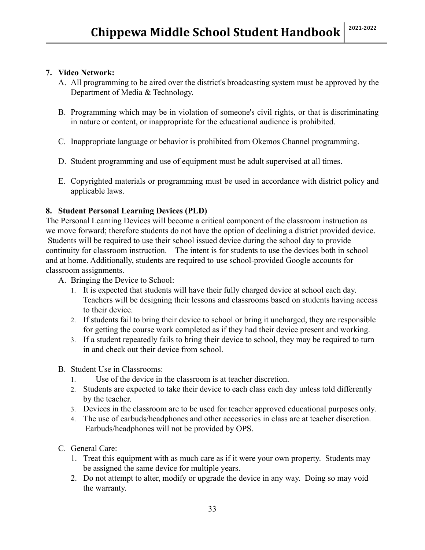#### **7. Video Network:**

- A. All programming to be aired over the district's broadcasting system must be approved by the Department of Media & Technology.
- B. Programming which may be in violation of someone's civil rights, or that is discriminating in nature or content, or inappropriate for the educational audience is prohibited.
- C. Inappropriate language or behavior is prohibited from Okemos Channel programming.
- D. Student programming and use of equipment must be adult supervised at all times.
- E. Copyrighted materials or programming must be used in accordance with district policy and applicable laws.

#### **8. Student Personal Learning Devices (PLD)**

The Personal Learning Devices will become a critical component of the classroom instruction as we move forward; therefore students do not have the option of declining a district provided device. Students will be required to use their school issued device during the school day to provide continuity for classroom instruction. The intent is for students to use the devices both in school and at home. Additionally, students are required to use school-provided Google accounts for classroom assignments.

- A. Bringing the Device to School:
	- 1. It is expected that students will have their fully charged device at school each day. Teachers will be designing their lessons and classrooms based on students having access to their device.
	- 2. If students fail to bring their device to school or bring it uncharged, they are responsible for getting the course work completed as if they had their device present and working.
	- 3. If a student repeatedly fails to bring their device to school, they may be required to turn in and check out their device from school.
- B. Student Use in Classrooms:
	- 1. Use of the device in the classroom is at teacher discretion.
	- 2. Students are expected to take their device to each class each day unless told differently by the teacher.
	- 3. Devices in the classroom are to be used for teacher approved educational purposes only.
	- 4. The use of earbuds/headphones and other accessories in class are at teacher discretion. Earbuds/headphones will not be provided by OPS.
- C. General Care:
	- 1. Treat this equipment with as much care as if it were your own property. Students may be assigned the same device for multiple years.
	- 2. Do not attempt to alter, modify or upgrade the device in any way. Doing so may void the warranty.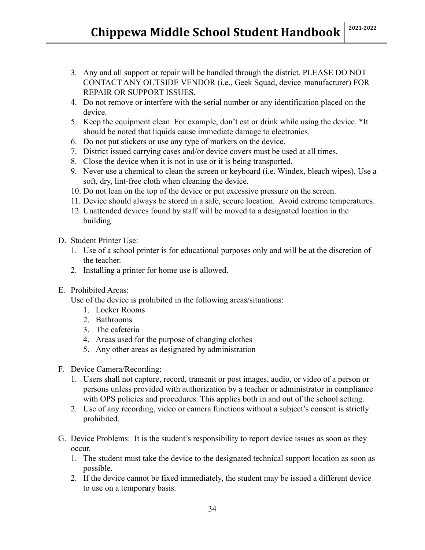- 3. Any and all support or repair will be handled through the district. PLEASE DO NOT CONTACT ANY OUTSIDE VENDOR (i.e., Geek Squad, device manufacturer) FOR REPAIR OR SUPPORT ISSUES.
- 4. Do not remove or interfere with the serial number or any identification placed on the device.
- 5. Keep the equipment clean. For example, don't eat or drink while using the device. \*It should be noted that liquids cause immediate damage to electronics.
- 6. Do not put stickers or use any type of markers on the device.
- 7. District issued carrying cases and/or device covers must be used at all times.
- 8. Close the device when it is not in use or it is being transported.
- 9. Never use a chemical to clean the screen or keyboard (i.e. Windex, bleach wipes). Use a soft, dry, lint-free cloth when cleaning the device.
- 10. Do not lean on the top of the device or put excessive pressure on the screen.
- 11. Device should always be stored in a safe, secure location. Avoid extreme temperatures.
- 12. Unattended devices found by staff will be moved to a designated location in the building.
- D. Student Printer Use:
	- 1. Use of a school printer is for educational purposes only and will be at the discretion of the teacher.
	- 2. Installing a printer for home use is allowed.
- E. Prohibited Areas:

Use of the device is prohibited in the following areas/situations:

- 1. Locker Rooms
- 2. Bathrooms
- 3. The cafeteria
- 4. Areas used for the purpose of changing clothes
- 5. Any other areas as designated by administration
- F. Device Camera/Recording:
	- 1. Users shall not capture, record, transmit or post images, audio, or video of a person or persons unless provided with authorization by a teacher or administrator in compliance with OPS policies and procedures. This applies both in and out of the school setting.
	- 2. Use of any recording, video or camera functions without a subject's consent is strictly prohibited.
- G. Device Problems: It is the student's responsibility to report device issues as soon as they occur.
	- 1. The student must take the device to the designated technical support location as soon as possible.
	- 2. If the device cannot be fixed immediately, the student may be issued a different device to use on a temporary basis.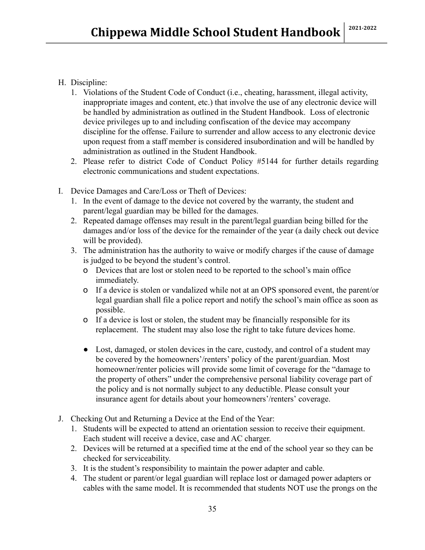- H. Discipline:
	- 1. Violations of the Student Code of Conduct (i.e., cheating, harassment, illegal activity, inappropriate images and content, etc.) that involve the use of any electronic device will be handled by administration as outlined in the Student Handbook. Loss of electronic device privileges up to and including confiscation of the device may accompany discipline for the offense. Failure to surrender and allow access to any electronic device upon request from a staff member is considered insubordination and will be handled by administration as outlined in the Student Handbook.
	- 2. Please refer to district Code of Conduct Policy #5144 for further details regarding electronic communications and student expectations.
- I. Device Damages and Care/Loss or Theft of Devices:
	- 1. In the event of damage to the device not covered by the warranty, the student and parent/legal guardian may be billed for the damages.
	- 2. Repeated damage offenses may result in the parent/legal guardian being billed for the damages and/or loss of the device for the remainder of the year (a daily check out device will be provided).
	- 3. The administration has the authority to waive or modify charges if the cause of damage is judged to be beyond the student's control.
		- o Devices that are lost or stolen need to be reported to the school's main office immediately.
		- o If a device is stolen or vandalized while not at an OPS sponsored event, the parent/or legal guardian shall file a police report and notify the school's main office as soon as possible.
		- o If a device is lost or stolen, the student may be financially responsible for its replacement. The student may also lose the right to take future devices home.
		- Lost, damaged, or stolen devices in the care, custody, and control of a student may be covered by the homeowners'/renters' policy of the parent/guardian. Most homeowner/renter policies will provide some limit of coverage for the "damage to the property of others" under the comprehensive personal liability coverage part of the policy and is not normally subject to any deductible. Please consult your insurance agent for details about your homeowners'/renters' coverage.
- J. Checking Out and Returning a Device at the End of the Year:
	- 1. Students will be expected to attend an orientation session to receive their equipment. Each student will receive a device, case and AC charger.
	- 2. Devices will be returned at a specified time at the end of the school year so they can be checked for serviceability.
	- 3. It is the student's responsibility to maintain the power adapter and cable.
	- 4. The student or parent/or legal guardian will replace lost or damaged power adapters or cables with the same model. It is recommended that students NOT use the prongs on the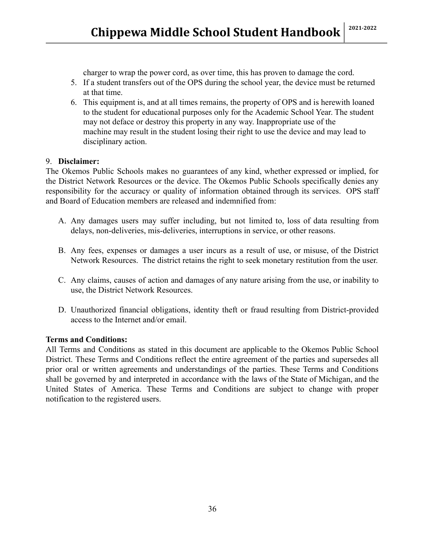charger to wrap the power cord, as over time, this has proven to damage the cord.

- 5. If a student transfers out of the OPS during the school year, the device must be returned at that time.
- 6. This equipment is, and at all times remains, the property of OPS and is herewith loaned to the student for educational purposes only for the Academic School Year. The student may not deface or destroy this property in any way. Inappropriate use of the machine may result in the student losing their right to use the device and may lead to disciplinary action.

#### 9. **Disclaimer:**

The Okemos Public Schools makes no guarantees of any kind, whether expressed or implied, for the District Network Resources or the device. The Okemos Public Schools specifically denies any responsibility for the accuracy or quality of information obtained through its services. OPS staff and Board of Education members are released and indemnified from:

- A. Any damages users may suffer including, but not limited to, loss of data resulting from delays, non-deliveries, mis-deliveries, interruptions in service, or other reasons.
- B. Any fees, expenses or damages a user incurs as a result of use, or misuse, of the District Network Resources. The district retains the right to seek monetary restitution from the user.
- C. Any claims, causes of action and damages of any nature arising from the use, or inability to use, the District Network Resources.
- D. Unauthorized financial obligations, identity theft or fraud resulting from District-provided access to the Internet and/or email.

#### **Terms and Conditions:**

All Terms and Conditions as stated in this document are applicable to the Okemos Public School District. These Terms and Conditions reflect the entire agreement of the parties and supersedes all prior oral or written agreements and understandings of the parties. These Terms and Conditions shall be governed by and interpreted in accordance with the laws of the State of Michigan, and the United States of America. These Terms and Conditions are subject to change with proper notification to the registered users.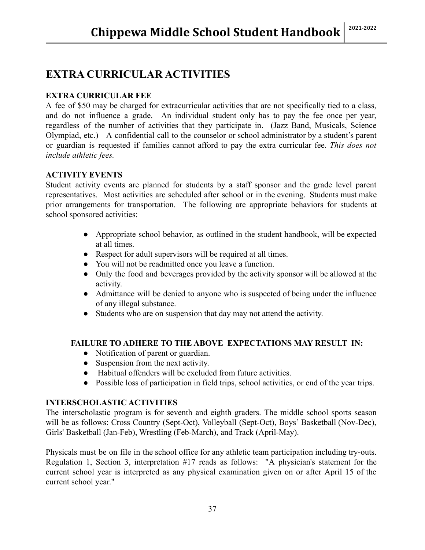## **EXTRA CURRICULAR ACTIVITIES**

#### **EXTRA CURRICULAR FEE**

A fee of \$50 may be charged for extracurricular activities that are not specifically tied to a class, and do not influence a grade. An individual student only has to pay the fee once per year, regardless of the number of activities that they participate in. (Jazz Band, Musicals, Science Olympiad, etc.) A confidential call to the counselor or school administrator by a student's parent or guardian is requested if families cannot afford to pay the extra curricular fee. *This does not include athletic fees.*

#### **ACTIVITY EVENTS**

Student activity events are planned for students by a staff sponsor and the grade level parent representatives. Most activities are scheduled after school or in the evening. Students must make prior arrangements for transportation. The following are appropriate behaviors for students at school sponsored activities:

- Appropriate school behavior, as outlined in the student handbook, will be expected at all times.
- Respect for adult supervisors will be required at all times.
- You will not be readmitted once you leave a function.
- Only the food and beverages provided by the activity sponsor will be allowed at the activity.
- Admittance will be denied to anyone who is suspected of being under the influence of any illegal substance.
- Students who are on suspension that day may not attend the activity.

#### **FAILURE TO ADHERE TO THE ABOVE EXPECTATIONS MAY RESULT IN:**

- Notification of parent or guardian.
- Suspension from the next activity.
- Habitual offenders will be excluded from future activities.
- Possible loss of participation in field trips, school activities, or end of the year trips.

#### **INTERSCHOLASTIC ACTIVITIES**

The interscholastic program is for seventh and eighth graders. The middle school sports season will be as follows: Cross Country (Sept-Oct), Volleyball (Sept-Oct), Boys' Basketball (Nov-Dec), Girls' Basketball (Jan-Feb), Wrestling (Feb-March), and Track (April-May).

Physicals must be on file in the school office for any athletic team participation including try-outs. Regulation 1, Section 3, interpretation #17 reads as follows: "A physician's statement for the current school year is interpreted as any physical examination given on or after April 15 of the current school year."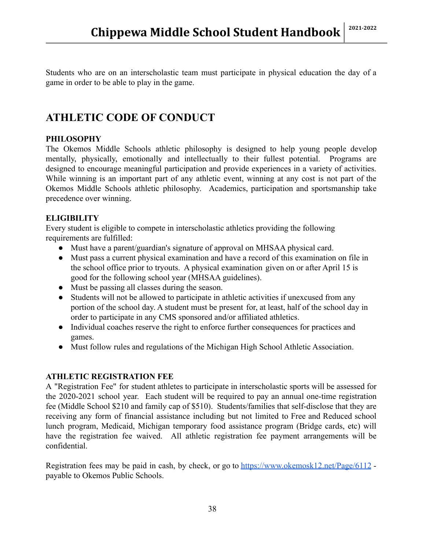Students who are on an interscholastic team must participate in physical education the day of a game in order to be able to play in the game.

## **ATHLETIC CODE OF CONDUCT**

#### **PHILOSOPHY**

The Okemos Middle Schools athletic philosophy is designed to help young people develop mentally, physically, emotionally and intellectually to their fullest potential. Programs are designed to encourage meaningful participation and provide experiences in a variety of activities. While winning is an important part of any athletic event, winning at any cost is not part of the Okemos Middle Schools athletic philosophy. Academics, participation and sportsmanship take precedence over winning.

#### **ELIGIBILITY**

Every student is eligible to compete in interscholastic athletics providing the following requirements are fulfilled:

- Must have a parent/guardian's signature of approval on MHSAA physical card.
- Must pass a current physical examination and have a record of this examination on file in the school office prior to tryouts. A physical examination given on or after April 15 is good for the following school year (MHSAA guidelines).
- Must be passing all classes during the season.
- Students will not be allowed to participate in athletic activities if unexcused from any portion of the school day. A student must be present for, at least, half of the school day in order to participate in any CMS sponsored and/or affiliated athletics.
- Individual coaches reserve the right to enforce further consequences for practices and games.
- Must follow rules and regulations of the Michigan High School Athletic Association.

#### **ATHLETIC REGISTRATION FEE**

A "Registration Fee" for student athletes to participate in interscholastic sports will be assessed for the 2020-2021 school year. Each student will be required to pay an annual one-time registration fee (Middle School \$210 and family cap of \$510). Students/families that self-disclose that they are receiving any form of financial assistance including but not limited to Free and Reduced school lunch program, Medicaid, Michigan temporary food assistance program (Bridge cards, etc) will have the registration fee waived. All athletic registration fee payment arrangements will be confidential.

Registration fees may be paid in cash, by check, or go to <https://www.okemosk12.net/Page/6112> payable to Okemos Public Schools.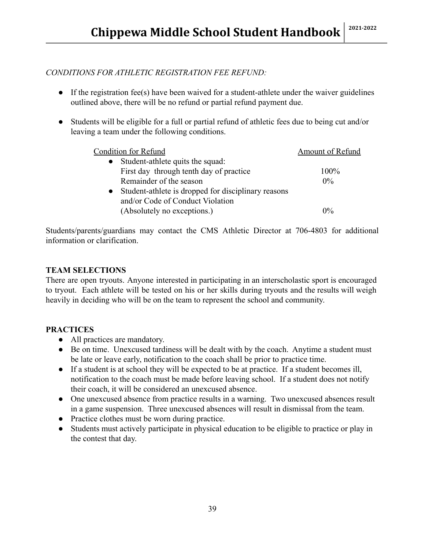#### *CONDITIONS FOR ATHLETIC REGISTRATION FEE REFUND:*

- If the registration fee(s) have been waived for a student-athlete under the waiver guidelines outlined above, there will be no refund or partial refund payment due.
- Students will be eligible for a full or partial refund of athletic fees due to being cut and/or leaving a team under the following conditions.

| <b>Amount of Refund</b> |
|-------------------------|
|                         |
| $100\%$                 |
| $0\%$                   |
|                         |
|                         |
| $0\%$                   |
|                         |

Students/parents/guardians may contact the CMS Athletic Director at 706-4803 for additional information or clarification.

#### **TEAM SELECTIONS**

There are open tryouts. Anyone interested in participating in an interscholastic sport is encouraged to tryout. Each athlete will be tested on his or her skills during tryouts and the results will weigh heavily in deciding who will be on the team to represent the school and community.

#### **PRACTICES**

- All practices are mandatory.
- Be on time. Unexcused tardiness will be dealt with by the coach. Anytime a student must be late or leave early, notification to the coach shall be prior to practice time.
- If a student is at school they will be expected to be at practice. If a student becomes ill, notification to the coach must be made before leaving school. If a student does not notify their coach, it will be considered an unexcused absence.
- One unexcused absence from practice results in a warning. Two unexcused absences result in a game suspension. Three unexcused absences will result in dismissal from the team.
- Practice clothes must be worn during practice.
- Students must actively participate in physical education to be eligible to practice or play in the contest that day.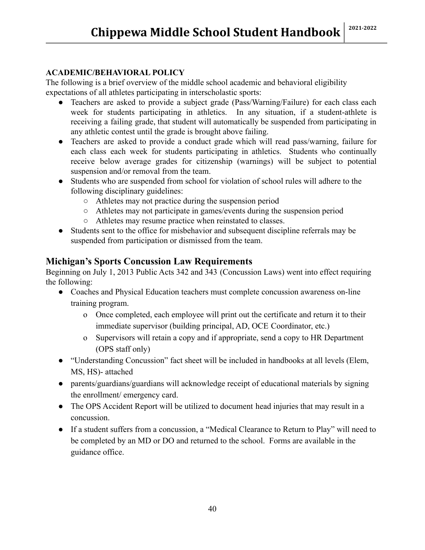#### **ACADEMIC/BEHAVIORAL POLICY**

The following is a brief overview of the middle school academic and behavioral eligibility expectations of all athletes participating in interscholastic sports:

- Teachers are asked to provide a subject grade (Pass/Warning/Failure) for each class each week for students participating in athletics. In any situation, if a student-athlete is receiving a failing grade, that student will automatically be suspended from participating in any athletic contest until the grade is brought above failing.
- Teachers are asked to provide a conduct grade which will read pass/warning, failure for each class each week for students participating in athletics. Students who continually receive below average grades for citizenship (warnings) will be subject to potential suspension and/or removal from the team.
- Students who are suspended from school for violation of school rules will adhere to the following disciplinary guidelines:
	- Athletes may not practice during the suspension period
	- Athletes may not participate in games/events during the suspension period
	- Athletes may resume practice when reinstated to classes.
- Students sent to the office for misbehavior and subsequent discipline referrals may be suspended from participation or dismissed from the team.

#### **Michigan's Sports Concussion Law Requirements**

Beginning on July 1, 2013 Public Acts 342 and 343 (Concussion Laws) went into effect requiring the following:

- Coaches and Physical Education teachers must complete concussion awareness on-line training program.
	- o Once completed, each employee will print out the certificate and return it to their immediate supervisor (building principal, AD, OCE Coordinator, etc.)
	- o Supervisors will retain a copy and if appropriate, send a copy to HR Department (OPS staff only)
- "Understanding Concussion" fact sheet will be included in handbooks at all levels (Elem, MS, HS)- attached
- parents/guardians/guardians will acknowledge receipt of educational materials by signing the enrollment/ emergency card.
- The OPS Accident Report will be utilized to document head injuries that may result in a concussion.
- If a student suffers from a concussion, a "Medical Clearance to Return to Play" will need to be completed by an MD or DO and returned to the school. Forms are available in the guidance office.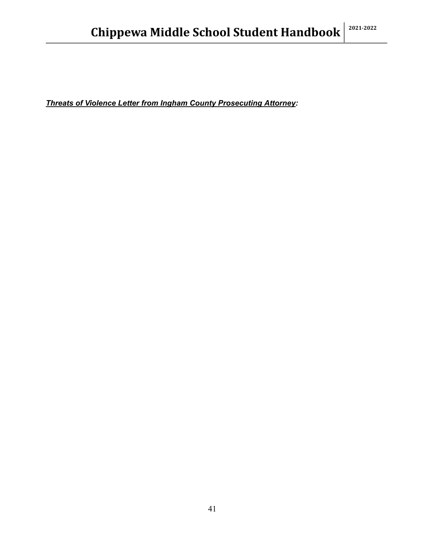*Threats of Violence Letter from Ingham County Prosecuting Attorney:*